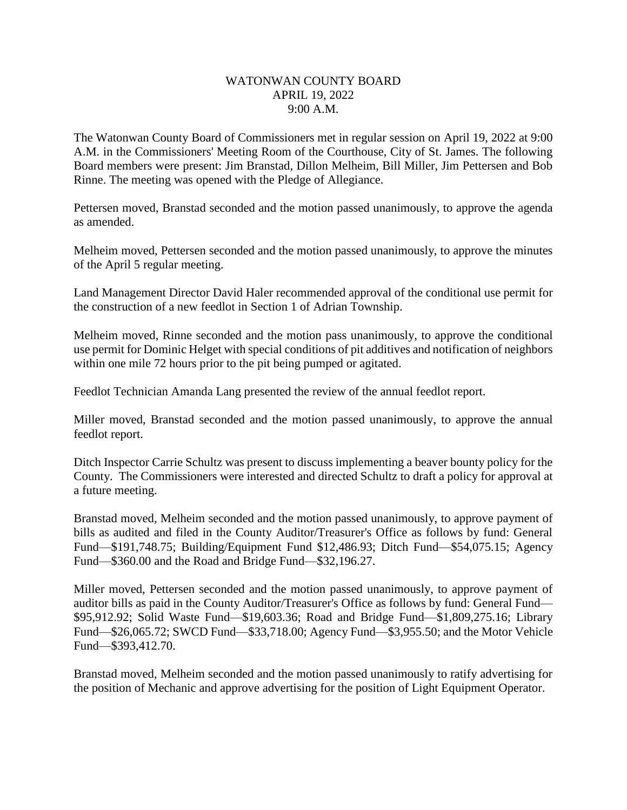## WATONWAN COUNTY BOARD APRIL 19, 2022 9:00 A.M.

The Watonwan County Board of Commissioners met in regular session on April 19, 2022 at 9:00 A.M. in the Commissioners' Meeting Room of the Courthouse, City of St. James. The following Board members were present: Jim Branstad, Dillon Melheim, Bill Miller, Jim Pettersen and Bob Rinne. The meeting was opened with the Pledge of Allegiance.

Pettersen moved, Branstad seconded and the motion passed unanimously, to approve the agenda as amended.

Melheim moved, Pettersen seconded and the motion passed unanimously, to approve the minutes of the April 5 regular meeting.

Land Management Director David Haler recommended approval of the conditional use permit for the construction of a new feedlot in Section 1 of Adrian Township.

Melheim moved, Rinne seconded and the motion pass unanimously, to approve the conditional use permit for Dominic Helget with special conditions of pit additives and notification of neighbors within one mile 72 hours prior to the pit being pumped or agitated.

Feedlot Technician Amanda Lang presented the review of the annual feedlot report.

Miller moved, Branstad seconded and the motion passed unanimously, to approve the annual feedlot report.

Ditch Inspector Carrie Schultz was present to discuss implementing a beaver bounty policy for the County. The Commissioners were interested and directed Schultz to draft a policy for approval at a future meeting.

Branstad moved, Melheim seconded and the motion passed unanimously, to approve payment of bills as audited and filed in the County Auditor/Treasurer's Office as follows by fund: General Fund—\$191,748.75; Building/Equipment Fund \$12,486.93; Ditch Fund—\$54,075.15; Agency Fund—\$360.00 and the Road and Bridge Fund—\$32,196.27.

Miller moved, Pettersen seconded and the motion passed unanimously, to approve payment of auditor bills as paid in the County Auditor/Treasurer's Office as follows by fund: General Fund— \$95,912.92; Solid Waste Fund—\$19,603.36; Road and Bridge Fund—\$1,809,275.16; Library Fund—\$26,065.72; SWCD Fund—\$33,718.00; Agency Fund—\$3,955.50; and the Motor Vehicle Fund—\$393,412.70.

Branstad moved, Melheim seconded and the motion passed unanimously to ratify advertising for the position of Mechanic and approve advertising for the position of Light Equipment Operator.